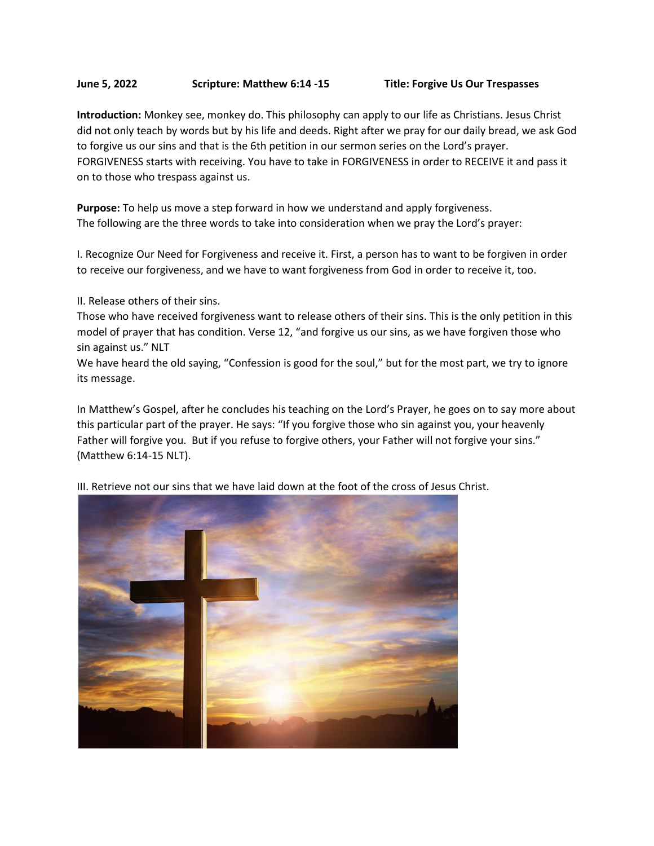## **June 5, 2022 Scripture: Matthew 6:14 -15 Title: Forgive Us Our Trespasses**

**Introduction:** Monkey see, monkey do. This philosophy can apply to our life as Christians. Jesus Christ did not only teach by words but by his life and deeds. Right after we pray for our daily bread, we ask God to forgive us our sins and that is the 6th petition in our sermon series on the Lord's prayer. FORGIVENESS starts with receiving. You have to take in FORGIVENESS in order to RECEIVE it and pass it on to those who trespass against us.

**Purpose:** To help us move a step forward in how we understand and apply forgiveness. The following are the three words to take into consideration when we pray the Lord's prayer:

I. Recognize Our Need for Forgiveness and receive it. First, a person has to want to be forgiven in order to receive our forgiveness, and we have to want forgiveness from God in order to receive it, too.

II. Release others of their sins.

Those who have received forgiveness want to release others of their sins. This is the only petition in this model of prayer that has condition. Verse 12, "and forgive us our sins, as we have forgiven those who sin against us." NLT

We have heard the old saying, "Confession is good for the soul," but for the most part, we try to ignore its message.

In Matthew's Gospel, after he concludes his teaching on the Lord's Prayer, he goes on to say more about this particular part of the prayer. He says: "If you forgive those who sin against you, your heavenly Father will forgive you. But if you refuse to forgive others, your Father will not forgive your sins." (Matthew 6:14-15 NLT).



III. Retrieve not our sins that we have laid down at the foot of the cross of Jesus Christ.